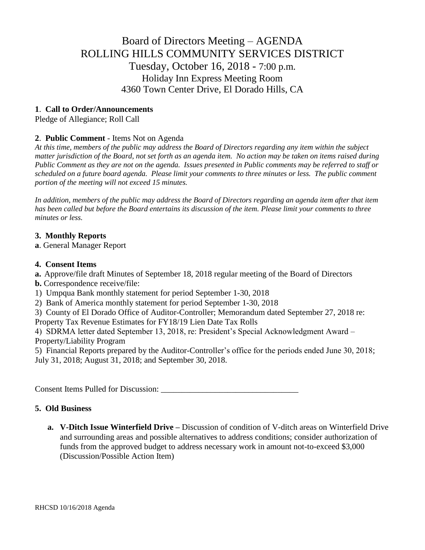# Board of Directors Meeting – AGENDA ROLLING HILLS COMMUNITY SERVICES DISTRICT Tuesday, October 16, 2018 - 7:00 p.m. Holiday Inn Express Meeting Room 4360 Town Center Drive, El Dorado Hills, CA

## **1**. **Call to Order/Announcements**

Pledge of Allegiance; Roll Call

# **2**. **Public Comment** - Items Not on Agenda

*At this time, members of the public may address the Board of Directors regarding any item within the subject matter jurisdiction of the Board, not set forth as an agenda item. No action may be taken on items raised during Public Comment as they are not on the agenda. Issues presented in Public comments may be referred to staff or scheduled on a future board agenda. Please limit your comments to three minutes or less. The public comment portion of the meeting will not exceed 15 minutes.*

*In addition, members of the public may address the Board of Directors regarding an agenda item after that item has been called but before the Board entertains its discussion of the item. Please limit your comments to three minutes or less.*

## **3. Monthly Reports**

**a**. General Manager Report

#### **4. Consent Items**

- **a.** Approve/file draft Minutes of September 18, 2018 regular meeting of the Board of Directors
- **b.** Correspondence receive/file:
- 1) Umpqua Bank monthly statement for period September 1-30, 2018
- 2) Bank of America monthly statement for period September 1-30, 2018
- 3) County of El Dorado Office of Auditor-Controller; Memorandum dated September 27, 2018 re:

Property Tax Revenue Estimates for FY18/19 Lien Date Tax Rolls

4) SDRMA letter dated September 13, 2018, re: President's Special Acknowledgment Award – Property/Liability Program

5) Financial Reports prepared by the Auditor-Controller's office for the periods ended June 30, 2018; July 31, 2018; August 31, 2018; and September 30, 2018.

Consent Items Pulled for Discussion: \_\_\_\_\_\_\_\_\_\_\_\_\_\_\_\_\_\_\_\_\_\_\_\_\_\_\_\_\_\_\_\_\_

## **5. Old Business**

**a. V-Ditch Issue Winterfield Drive –** Discussion of condition of V-ditch areas on Winterfield Drive and surrounding areas and possible alternatives to address conditions; consider authorization of funds from the approved budget to address necessary work in amount not-to-exceed \$3,000 (Discussion/Possible Action Item)